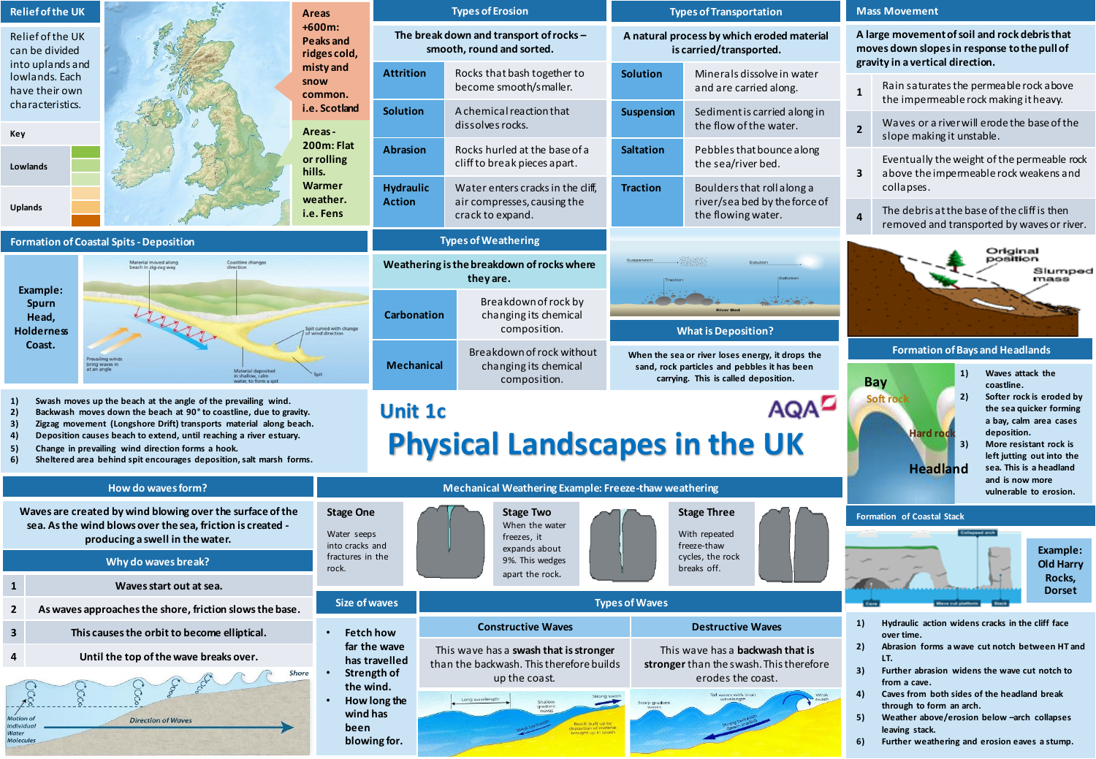| <b>Relief of the UK</b>                                                                                                                                                                                                                                                                                                                                                                                                                                               |                                                           | Areas                                                                 | <b>Types of Erosion</b>                                                                                                        |                                                                                      | <b>Types of Transportation</b>                                                                                                           |                                                                                   |                                                                                                                                                                                                                                                                                                                                                   | <b>Mass Movement</b>                                                                                                                                                                                                                                                                |  |  |
|-----------------------------------------------------------------------------------------------------------------------------------------------------------------------------------------------------------------------------------------------------------------------------------------------------------------------------------------------------------------------------------------------------------------------------------------------------------------------|-----------------------------------------------------------|-----------------------------------------------------------------------|--------------------------------------------------------------------------------------------------------------------------------|--------------------------------------------------------------------------------------|------------------------------------------------------------------------------------------------------------------------------------------|-----------------------------------------------------------------------------------|---------------------------------------------------------------------------------------------------------------------------------------------------------------------------------------------------------------------------------------------------------------------------------------------------------------------------------------------------|-------------------------------------------------------------------------------------------------------------------------------------------------------------------------------------------------------------------------------------------------------------------------------------|--|--|
| Relief of the UK<br>can be divided<br>into uplands and<br>lowlands. Each<br>have their own<br>characteristics.<br>Key<br>Lowlands                                                                                                                                                                                                                                                                                                                                     |                                                           | $+600m:$<br>Peaks and<br>ridges cold,<br>misty and<br>snow<br>common. | The break down and transport of rocks -<br>smooth, round and sorted.                                                           |                                                                                      | A natural process by which eroded material<br>is carried/transported.                                                                    |                                                                                   | A large movement of soil and rock debris that<br>moves down slopes in response to the pull of<br>gravity in a vertical direction.                                                                                                                                                                                                                 |                                                                                                                                                                                                                                                                                     |  |  |
|                                                                                                                                                                                                                                                                                                                                                                                                                                                                       |                                                           |                                                                       | Attrition<br>Rocks that bash together to<br><b>Solution</b><br>become smooth/smaller.                                          |                                                                                      | Minerals dissolve in water<br>and are carried along.                                                                                     | $\mathbf{1}$                                                                      | Rain saturates the permeable rock above<br>the impermeable rock making it heavy.                                                                                                                                                                                                                                                                  |                                                                                                                                                                                                                                                                                     |  |  |
|                                                                                                                                                                                                                                                                                                                                                                                                                                                                       |                                                           | i.e. Scotland<br>Areas-                                               | <b>Solution</b>                                                                                                                | A chemical reaction that<br>dissolves rocks.                                         | <b>Suspension</b>                                                                                                                        | Sediment is carried along in<br>the flow of the water.                            | $\overline{2}$                                                                                                                                                                                                                                                                                                                                    | Waves or a river will erode the base of the<br>slope making it unstable.                                                                                                                                                                                                            |  |  |
|                                                                                                                                                                                                                                                                                                                                                                                                                                                                       |                                                           | 200m: Flat<br>or rolling<br>hills.                                    | <b>Abrasion</b>                                                                                                                | Rocks hurled at the base of a<br>cliff to break pieces apart.                        | <b>Saltation</b>                                                                                                                         | Pebbles that bounce along<br>the sea/river bed.                                   | 3                                                                                                                                                                                                                                                                                                                                                 | Eventually the weight of the permeable rock<br>above the impermeable rock weakens and                                                                                                                                                                                               |  |  |
| Uplands                                                                                                                                                                                                                                                                                                                                                                                                                                                               |                                                           | Warmer<br>weather.<br>i.e. Fens                                       | <b>Hydraulic</b><br><b>Action</b>                                                                                              | Water enters cracks in the cliff.<br>air compresses, causing the<br>crack to expand. | <b>Traction</b>                                                                                                                          | Boulders that roll along a<br>river/sea bed by the force of<br>the flowing water. | 4                                                                                                                                                                                                                                                                                                                                                 | collapses.<br>The debris at the base of the cliff is then<br>removed and transported by waves or river.                                                                                                                                                                             |  |  |
|                                                                                                                                                                                                                                                                                                                                                                                                                                                                       | <b>Formation of Coastal Spits - Deposition</b>            |                                                                       |                                                                                                                                | <b>Types of Weathering</b>                                                           |                                                                                                                                          |                                                                                   |                                                                                                                                                                                                                                                                                                                                                   |                                                                                                                                                                                                                                                                                     |  |  |
| Material moved along<br>beach in zig-zag way<br>Coastline change<br>Example:                                                                                                                                                                                                                                                                                                                                                                                          |                                                           |                                                                       | Weathering is the breakdown of rocks where<br>they are.                                                                        |                                                                                      |                                                                                                                                          |                                                                                   |                                                                                                                                                                                                                                                                                                                                                   | Original<br>position<br>Slumper<br>mass                                                                                                                                                                                                                                             |  |  |
| <b>Spurn</b><br>Head,<br><b>Holderness</b>                                                                                                                                                                                                                                                                                                                                                                                                                            | bring waves ir<br>at an angle                             | it curved with change                                                 | <b>Carbonation</b>                                                                                                             | Breakdown of rock by<br>changing its chemical<br>composition.                        | <b>What is Deposition?</b>                                                                                                               |                                                                                   |                                                                                                                                                                                                                                                                                                                                                   |                                                                                                                                                                                                                                                                                     |  |  |
| Coast.                                                                                                                                                                                                                                                                                                                                                                                                                                                                |                                                           |                                                                       | <b>Mechanical</b>                                                                                                              | Breakdown of rock without<br>changing its chemical<br>composition.                   | When the sea or river loses energy, it drops the<br>sand, rock particles and pebbles it has been<br>carrying. This is called deposition. |                                                                                   |                                                                                                                                                                                                                                                                                                                                                   | <b>Formation of Bays and Headlands</b><br>Waves attack the<br>1)<br><b>Bay</b><br>coastline.                                                                                                                                                                                        |  |  |
| Swash moves up the beach at the angle of the prevailing wind.<br>1)<br>2)<br>Backwash moves down the beach at 90° to coastline, due to gravity.<br>3)<br>Zigzag movement (Longshore Drift) transports material along beach.<br>4)<br>Deposition causes beach to extend, until reaching a river estuary.<br>5)<br>Change in prevailing wind direction forms a hook.<br>6)<br>Sheltered area behind spit encourages deposition, salt marsh forms.<br>How do waves form? |                                                           |                                                                       | <b>AQAD</b><br><b>Unit 1c</b><br><b>Physical Landscapes in the UK</b><br>Mechanical Weathering Example: Freeze-thaw weathering |                                                                                      |                                                                                                                                          |                                                                                   |                                                                                                                                                                                                                                                                                                                                                   | Softer rock is eroded by<br>2)<br>Soft rock<br>the sea quicker forming<br>a bay, calm area cases<br>Hard rod<br>deposition.<br>3)<br>More resistant rock is<br>left jutting out into the<br>sea. This is a headland<br><b>Headland</b><br>and is now more<br>vulnerable to erosion. |  |  |
|                                                                                                                                                                                                                                                                                                                                                                                                                                                                       | Waves are created by wind blowing over the surface of the | <b>Stage One</b>                                                      |                                                                                                                                |                                                                                      | <b>Stage Three</b>                                                                                                                       |                                                                                   | <b>Formation of Coastal Stack</b>                                                                                                                                                                                                                                                                                                                 |                                                                                                                                                                                                                                                                                     |  |  |
| sea. As the wind blows over the sea, friction is created -<br>producing a swell in the water.                                                                                                                                                                                                                                                                                                                                                                         |                                                           |                                                                       | Water seeps                                                                                                                    | When the water<br>freezes, it                                                        |                                                                                                                                          | With repeated                                                                     |                                                                                                                                                                                                                                                                                                                                                   |                                                                                                                                                                                                                                                                                     |  |  |
|                                                                                                                                                                                                                                                                                                                                                                                                                                                                       | Why do waves break?                                       | into cracks and<br>fractures in the                                   |                                                                                                                                | expands about<br>9%. This wedges                                                     |                                                                                                                                          | freeze-thaw<br>cycles, the rock                                                   |                                                                                                                                                                                                                                                                                                                                                   | Example:<br><b>Old Harry</b>                                                                                                                                                                                                                                                        |  |  |
| $\mathbf{1}$                                                                                                                                                                                                                                                                                                                                                                                                                                                          | rock.<br>Waves start out at sea.                          |                                                                       | apart the rock.                                                                                                                |                                                                                      | breaks off.                                                                                                                              |                                                                                   |                                                                                                                                                                                                                                                                                                                                                   | Rocks,<br><b>Dorset</b>                                                                                                                                                                                                                                                             |  |  |
| $\mathbf{2}$                                                                                                                                                                                                                                                                                                                                                                                                                                                          | As waves approaches the shore, friction slows the base.   |                                                                       | <b>Size of waves</b>                                                                                                           |                                                                                      | <b>Types of Waves</b>                                                                                                                    |                                                                                   |                                                                                                                                                                                                                                                                                                                                                   |                                                                                                                                                                                                                                                                                     |  |  |
| 3                                                                                                                                                                                                                                                                                                                                                                                                                                                                     | This causes the orbit to become elliptical.               |                                                                       | <b>Fetch how</b>                                                                                                               | <b>Constructive Waves</b>                                                            | <b>Destructive Waves</b>                                                                                                                 |                                                                                   | Hydraulic action widens cracks in the cliff face<br>1)                                                                                                                                                                                                                                                                                            |                                                                                                                                                                                                                                                                                     |  |  |
| 4                                                                                                                                                                                                                                                                                                                                                                                                                                                                     | Until the top of the wave breaks over.                    |                                                                       | far the wave<br>has travelled                                                                                                  | This wave has a swash that is stronger<br>than the backwash. This therefore builds   | This wave has a <b>backwash that is</b><br>stronger than the swash. This therefore<br>erodes the coast.                                  |                                                                                   | Abrasion forms a wave cut notch between HT and<br>2)<br>LT.<br>3)<br>Further abrasion widens the wave cut notch to<br>from a cave.<br>Caves from both sides of the headland break<br>4)<br>through to form an arch.<br>Weather above/erosion below -arch collapses<br>5)<br>leaving stack.<br>Further weathering and erosion eaves a stump.<br>6) |                                                                                                                                                                                                                                                                                     |  |  |
| Shore<br><b>Motion</b> of<br><b>Direction of Waves</b><br>Individual<br>Watei<br><b>Molecules</b>                                                                                                                                                                                                                                                                                                                                                                     |                                                           | $\bullet$<br>the wind.<br>wind has<br>been                            | Strength of<br>How long the<br>blowing for.                                                                                    | up the coast.                                                                        |                                                                                                                                          |                                                                                   |                                                                                                                                                                                                                                                                                                                                                   |                                                                                                                                                                                                                                                                                     |  |  |